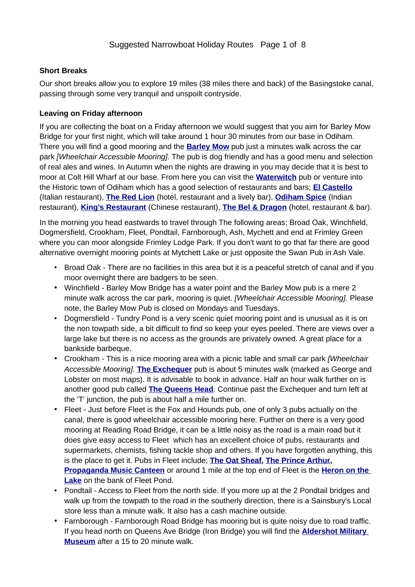### **Short Breaks**

Our short breaks allow you to explore 19 miles (38 miles there and back) of the Basingstoke canal, passing through some very tranquil and unspoilt contryside.

### **Leaving on Friday afternoon**

If you are collecting the boat on a Friday afternoon we would suggest that you aim for Barley Mow Bridge for your first night, which will take around 1 hour 30 minutes from our base in Odiham. There you will find a good mooring and the **[Barley Mow](http://www.tripadvisor.co.uk/Restaurant_Review-g1466677-d6970724-Reviews-The_Barley_Mow-Odiham_Hook_Hampshire_England.html)** pub just a minutes walk across the car park *[Wheelchair Accessible Mooring]*. The pub is dog friendly and has a good menu and selection of real ales and wines. In Autumn when the nights are drawing in you may decide that it is best to moor at Colt Hill Wharf at our base. From here you can visit the **[Waterwitch](http://www.tripadvisor.co.uk/Restaurant_Review-g1466677-d2214550-Reviews-Waterwitch-Odiham_Hook_Hampshire_England.html)** pub or venture into the Historic town of Odiham which has a good selection of restaurants and bars; **[El Castello](http://www.tripadvisor.co.uk/Restaurant_Review-g1466677-d2454902-Reviews-El_Castello-Odiham_Hook_Hampshire_England.html)** (Italian restaurant), **[The Red Lion](https://www.tripadvisor.co.uk/Restaurant_Review-g1466677-d12120672-Reviews-The_Red_Lion-Odiham_Hook_Hampshire_England.html)** (hotel, restaurant and a lively bar), **[Odiham Spice](http://www.tripadvisor.co.uk/Restaurant_Review-g1466677-d1731314-Reviews-Odiham_Spice-Odiham_Hook_Hampshire_England.html)** (Indian restaurant), **[King's Restaurant](http://www.tripadvisor.co.uk/Restaurant_Review-g1466677-d3160146-Reviews-King_s_Restaurant-Odiham_Hook_Hampshire_England.html)** (Chinese restaurant), **[The Bel & Dragon](https://www.tripadvisor.co.uk/Restaurant_Review-g1466677-d7259988-Reviews-Bel_The_Dragon-Odiham_Hook_Hampshire_England.html)** (hotel, restaurant & bar).

In the morning you head eastwards to travel through The following areas; Broad Oak, Winchfield, Dogmersfield, Crookham, Fleet, Pondtail, Farnborough, Ash, Mychett and end at Frimley Green where you can moor alongside Frimley Lodge Park. If you don't want to go that far there are good alternative overnight mooring points at Mytchett Lake or just opposite the Swan Pub in Ash Vale.

- Broad Oak There are no facilities in this area but it is a peaceful stretch of canal and if you moor overnight there are badgers to be seen.
- Winchfield Barley Mow Bridge has a water point and the Barley Mow pub is a mere 2 minute walk across the car park, mooring is quiet. *[Wheelchair Accessible Mooring].* Please note, the Barley Mow Pub is closed on Mondays and Tuesdays.
- Dogmersfield Tundry Pond is a very scenic quiet mooring point and is unusual as it is on the non towpath side, a bit difficult to find so keep your eyes peeled. There are views over a large lake but there is no access as the grounds are privately owned. A great place for a bankside barbeque.
- Crookham This is a nice mooring area with a picnic table and small car park *[Wheelchair Accessible Mooring]*. **[The Exchequer](http://www.exchequercrookham.co.uk/)** pub is about 5 minutes walk (marked as George and Lobster on most maps). It is advisable to book in advance. Half an hour walk further on is another good pub called **[The Queens Head](http://www.queensheadpub.co.uk/)**. Continue past the Exchequer and turn left at the 'T' junction, the pub is about half a mile further on.
- Fleet Just before Fleet is the Fox and Hounds pub, one of only 3 pubs actually on the canal, there is good wheelchair accessible mooring here. Further on there is a very good mooring at Reading Road Bridge, it can be a little noisy as the road is a main road but it does give easy access to Fleet which has an excellent choice of pubs, restaurants and supermarkets, chemists, fishing tackle shop and others. If you have forgotten anything, this is the place to get it. Pubs in Fleet include; **[The Oat Sheaf](http://www.theoatsheaf.co.uk/), [The Prince Arthur,](http://www.jdwetherspoon.co.uk/home/pubs/the-prince-arthur) [Propaganda Music Canteen](http://musiccanteen.co.uk/)** or around 1 mile at the top end of Fleet is the **[Heron on the](http://www.mcmullens.co.uk/theherononthelake)  [Lake](http://www.mcmullens.co.uk/theherononthelake)** on the bank of Fleet Pond.
- Pondtail Access to Fleet from the north side. If you more up at the 2 Pondtail bridges and walk up from the towpath to the road in the southerly direction, there is a Sainsbury's Local store less than a minute walk. It also has a cash machine outside.
- Farnborough Farnborough Road Bridge has mooring but is quite noisy due to road traffic. If you head north on Queens Ave Bridge (Iron Bridge) you will find the **[Aldershot Military](http://hampshireculturaltrust.org.uk/aldershot-military-museum)  [Museum](http://hampshireculturaltrust.org.uk/aldershot-military-museum)** after a 15 to 20 minute walk.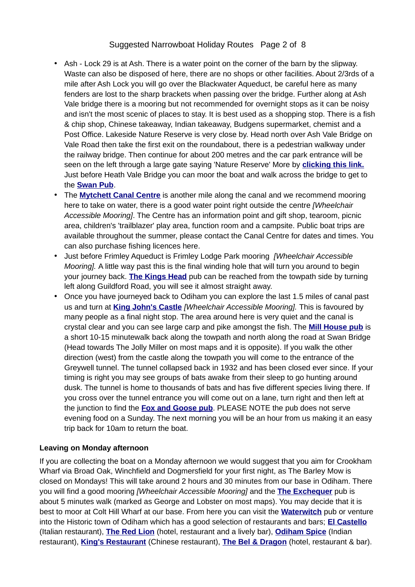## Suggested Narrowboat Holiday Routes Page 2 of 8

- Ash Lock 29 is at Ash. There is a water point on the corner of the barn by the slipway. Waste can also be disposed of here, there are no shops or other facilities. About 2/3rds of a mile after Ash Lock you will go over the Blackwater Aqueduct, be careful here as many fenders are lost to the sharp brackets when passing over the bridge. Further along at Ash Vale bridge there is a mooring but not recommended for overnight stops as it can be noisy and isn't the most scenic of places to stay. It is best used as a shopping stop. There is a fish & chip shop, Chinese takeaway, Indian takeaway, Budgens supermarket, chemist and a Post Office. Lakeside Nature Reserve is very close by. Head north over Ash Vale Bridge on Vale Road then take the first exit on the roundabout, there is a pedestrian walkway under the railway bridge. Then continue for about 200 metres and the car park entrance will be seen on the left through a large gate saying 'Nature Reserve' More by **[clicking this link.](http://www.blackwater-valley.org.uk/lakeside_park.html)** Just before Heath Vale Bridge you can moor the boat and walk across the bridge to get to the **[Swan Pub](http://www.chefandbrewer.com/pub/swan-ash-vale-aldershot/c2187/)**.
- The **[Mytchett Canal Centre](http://www3.hants.gov.uk/basingstoke-canal/canal-centre.htm)** is another mile along the canal and we recommend mooring here to take on water, there is a good water point right outside the centre *[Wheelchair Accessible Mooring]*. The Centre has an information point and gift shop, tearoom, picnic area, children's 'trailblazer' play area, function room and a campsite. Public boat trips are available throughout the summer, please contact the Canal Centre for dates and times. You can also purchase fishing licences here.
- Just before Frimley Aqueduct is Frimley Lodge Park mooring *[Wheelchair Accessible Mooring].* A little way past this is the final winding hole that will turn you around to begin your journey back. **[The Kings Head](http://www.harvester.co.uk/restaurants/southeast/thekingsheadcamberley)** pub can be reached from the towpath side by turning left along Guildford Road, you will see it almost straight away.
- Once you have journeyed back to Odiham you can explore the last 1.5 miles of canal past us and turn at **[King John's Castle](http://www3.hants.gov.uk/hampshire-countryside/odiham-castle.htm)** *[Wheelchair Accessible Mooring].* This is favoured by many people as a final night stop. The area around here is very quiet and the canal is crystal clear and you can see large carp and pike amongst the fish. The **[Mill House pub](http://www.brunningandprice.co.uk/millhouse/homepage/)** is a short 10-15 minutewalk back along the towpath and north along the road at Swan Bridge (Head towards The Jolly Miller on most maps and it is opposite). If you walk the other direction (west) from the castle along the towpath you will come to the entrance of the Greywell tunnel. The tunnel collapsed back in 1932 and has been closed ever since. If your timing is right you may see groups of bats awake from their sleep to go hunting around dusk. The tunnel is home to thousands of bats and has five different species living there. If you cross over the tunnel entrance you will come out on a lane, turn right and then left at the junction to find the **[Fox and Goose pub](http://www.foxandgoosehampshire.co.uk/)**. PLEASE NOTE the pub does not serve evening food on a Sunday. The next morning you will be an hour from us making it an easy trip back for 10am to return the boat.

#### **Leaving on Monday afternoon**

If you are collecting the boat on a Monday afternoon we would suggest that you aim for Crookham Wharf via Broad Oak, Winchfield and Dogmersfield for your first night, as The Barley Mow is closed on Mondays! This will take around 2 hours and 30 minutes from our base in Odiham. There you will find a good mooring *[Wheelchair Accessible Mooring]* and the **[The Exchequer](http://www.exchequercrookham.co.uk/)** pub is about 5 minutes walk (marked as George and Lobster on most maps). You may decide that it is best to moor at Colt Hill Wharf at our base. From here you can visit the **[Waterwitch](http://www.tripadvisor.co.uk/Restaurant_Review-g1466677-d2214550-Reviews-Waterwitch-Odiham_Hook_Hampshire_England.html)** pub or venture into the Historic town of Odiham which has a good selection of restaurants and bars; **[El Castello](http://www.tripadvisor.co.uk/Restaurant_Review-g1466677-d2454902-Reviews-El_Castello-Odiham_Hook_Hampshire_England.html)** (Italian restaurant), **[The Red Lion](https://www.tripadvisor.co.uk/Restaurant_Review-g1466677-d12120672-Reviews-The_Red_Lion-Odiham_Hook_Hampshire_England.html)** (hotel, restaurant and a lively bar), **[Odiham Spice](http://www.tripadvisor.co.uk/Restaurant_Review-g1466677-d1731314-Reviews-Odiham_Spice-Odiham_Hook_Hampshire_England.html)** (Indian restaurant), **[King's Restaurant](http://www.tripadvisor.co.uk/Restaurant_Review-g1466677-d3160146-Reviews-King_s_Restaurant-Odiham_Hook_Hampshire_England.html)** (Chinese restaurant), **[The Bel & Dragon](https://www.tripadvisor.co.uk/Restaurant_Review-g1466677-d7259988-Reviews-Bel_The_Dragon-Odiham_Hook_Hampshire_England.html)** (hotel, restaurant & bar).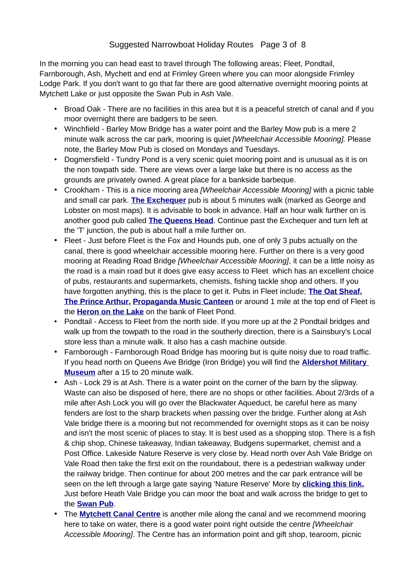In the morning you can head east to travel through The following areas; Fleet, Pondtail, Farnborough, Ash, Mychett and end at Frimley Green where you can moor alongside Frimley Lodge Park. If you don't want to go that far there are good alternative overnight mooring points at Mytchett Lake or just opposite the Swan Pub in Ash Vale.

- Broad Oak There are no facilities in this area but it is a peaceful stretch of canal and if you moor overnight there are badgers to be seen.
- Winchfield Barley Mow Bridge has a water point and the Barley Mow pub is a mere 2 minute walk across the car park, mooring is quiet *[Wheelchair Accessible Mooring].* Please note, the Barley Mow Pub is closed on Mondays and Tuesdays.
- Dogmersfield Tundry Pond is a very scenic quiet mooring point and is unusual as it is on the non towpath side. There are views over a large lake but there is no access as the grounds are privately owned. A great place for a bankside barbeque.
- Crookham This is a nice mooring area *[Wheelchair Accessible Mooring]* with a picnic table and small car park. **[The Exchequer](http://www.exchequercrookham.co.uk/)** pub is about 5 minutes walk (marked as George and Lobster on most maps). It is advisable to book in advance. Half an hour walk further on is another good pub called **[The Queens Head](http://www.queensheadpub.co.uk/)**. Continue past the Exchequer and turn left at the 'T' junction, the pub is about half a mile further on.
- Fleet Just before Fleet is the Fox and Hounds pub, one of only 3 pubs actually on the canal, there is good wheelchair accessible mooring here. Further on there is a very good mooring at Reading Road Bridge *[Wheelchair Accessible Mooring]*, it can be a little noisy as the road is a main road but it does give easy access to Fleet which has an excellent choice of pubs, restaurants and supermarkets, chemists, fishing tackle shop and others. If you have forgotten anything, this is the place to get it. Pubs in Fleet include; **[The Oat Sheaf](http://www.theoatsheaf.co.uk/), [The Prince Arthur,](http://www.jdwetherspoon.co.uk/home/pubs/the-prince-arthur) [Propaganda Music Canteen](http://musiccanteen.co.uk/)** or around 1 mile at the top end of Fleet is the **[Heron on the Lake](http://www.mcmullens.co.uk/theherononthelake)** on the bank of Fleet Pond.
- Pondtail Access to Fleet from the north side. If you more up at the 2 Pondtail bridges and walk up from the towpath to the road in the southerly direction, there is a Sainsbury's Local store less than a minute walk. It also has a cash machine outside.
- Farnborough Farnborough Road Bridge has mooring but is quite noisy due to road traffic. If you head north on Queens Ave Bridge (Iron Bridge) you will find the **[Aldershot Military](http://hampshireculturaltrust.org.uk/aldershot-military-museum)  [Museum](http://hampshireculturaltrust.org.uk/aldershot-military-museum)** after a 15 to 20 minute walk.
- Ash Lock 29 is at Ash. There is a water point on the corner of the barn by the slipway. Waste can also be disposed of here, there are no shops or other facilities. About 2/3rds of a mile after Ash Lock you will go over the Blackwater Aqueduct, be careful here as many fenders are lost to the sharp brackets when passing over the bridge. Further along at Ash Vale bridge there is a mooring but not recommended for overnight stops as it can be noisy and isn't the most scenic of places to stay. It is best used as a shopping stop. There is a fish & chip shop, Chinese takeaway, Indian takeaway, Budgens supermarket, chemist and a Post Office. Lakeside Nature Reserve is very close by. Head north over Ash Vale Bridge on Vale Road then take the first exit on the roundabout, there is a pedestrian walkway under the railway bridge. Then continue for about 200 metres and the car park entrance will be seen on the left through a large gate saying 'Nature Reserve' More by **[clicking this link.](http://www.blackwater-valley.org.uk/lakeside_park.html)** Just before Heath Vale Bridge you can moor the boat and walk across the bridge to get to the **[Swan Pub](http://www.chefandbrewer.com/pub/swan-ash-vale-aldershot/c2187/)**.
- The **[Mytchett Canal Centre](http://www3.hants.gov.uk/basingstoke-canal/canal-centre.htm)** is another mile along the canal and we recommend mooring here to take on water, there is a good water point right outside the centre *[Wheelchair Accessible Mooring]*. The Centre has an information point and gift shop, tearoom, picnic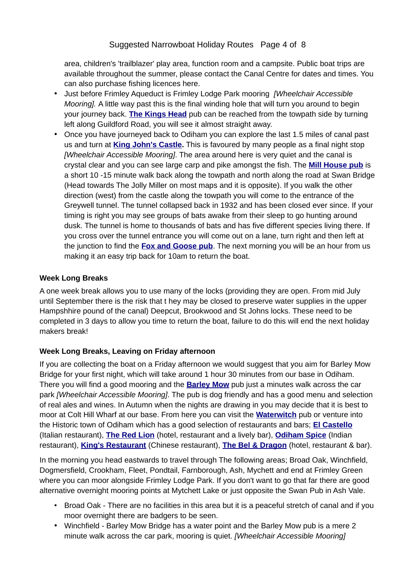area, children's 'trailblazer' play area, function room and a campsite. Public boat trips are available throughout the summer, please contact the Canal Centre for dates and times. You can also purchase fishing licences here.

- Just before Frimley Aqueduct is Frimley Lodge Park mooring *[Wheelchair Accessible Mooring].* A little way past this is the final winding hole that will turn you around to begin your journey back. **[The Kings Head](http://www.harvester.co.uk/restaurants/southeast/thekingsheadcamberley)** pub can be reached from the towpath side by turning left along Guildford Road, you will see it almost straight away.
- Once you have journeyed back to Odiham you can explore the last 1.5 miles of canal past us and turn at **[King John's Castle](http://www3.hants.gov.uk/hampshire-countryside/odiham-castle.htm).** This is favoured by many people as a final night stop *[Wheelchair Accessible Mooring]*. The area around here is very quiet and the canal is crystal clear and you can see large carp and pike amongst the fish. The **[Mill House pub](http://www.brunningandprice.co.uk/millhouse/homepage/)** is a short 10 -15 minute walk back along the towpath and north along the road at Swan Bridge (Head towards The Jolly Miller on most maps and it is opposite). If you walk the other direction (west) from the castle along the towpath you will come to the entrance of the Greywell tunnel. The tunnel collapsed back in 1932 and has been closed ever since. If your timing is right you may see groups of bats awake from their sleep to go hunting around dusk. The tunnel is home to thousands of bats and has five different species living there. If you cross over the tunnel entrance you will come out on a lane, turn right and then left at the junction to find the **[Fox and Goose pub](http://www.foxandgoosehampshire.co.uk/)**. The next morning you will be an hour from us making it an easy trip back for 10am to return the boat.

## **Week Long Breaks**

A one week break allows you to use many of the locks (providing they are open. From mid July until September there is the risk that t hey may be closed to preserve water supplies in the upper Hampshhire pound of the canal) Deepcut, Brookwood and St Johns locks. These need to be completed in 3 days to allow you time to return the boat, failure to do this will end the next holiday makers break!

# **Week Long Breaks, Leaving on Friday afternoon**

If you are collecting the boat on a Friday afternoon we would suggest that you aim for Barley Mow Bridge for your first night, which will take around 1 hour 30 minutes from our base in Odiham. There you will find a good mooring and the **[Barley Mow](http://www.tripadvisor.co.uk/Restaurant_Review-g1466677-d6970724-Reviews-The_Barley_Mow-Odiham_Hook_Hampshire_England.html)** pub just a minutes walk across the car park *[Wheelchair Accessible Mooring]*. The pub is dog friendly and has a good menu and selection of real ales and wines. In Autumn when the nights are drawing in you may decide that it is best to moor at Colt Hill Wharf at our base. From here you can visit the **[Waterwitch](http://www.tripadvisor.co.uk/Restaurant_Review-g1466677-d2214550-Reviews-Waterwitch-Odiham_Hook_Hampshire_England.html)** pub or venture into the Historic town of Odiham which has a good selection of restaurants and bars; **[El Castello](http://www.tripadvisor.co.uk/Restaurant_Review-g1466677-d2454902-Reviews-El_Castello-Odiham_Hook_Hampshire_England.html)** (Italian restaurant), **[The Red Lion](https://www.tripadvisor.co.uk/Restaurant_Review-g1466677-d12120672-Reviews-The_Red_Lion-Odiham_Hook_Hampshire_England.html)** (hotel, restaurant and a lively bar), **[Odiham Spice](http://www.tripadvisor.co.uk/Restaurant_Review-g1466677-d1731314-Reviews-Odiham_Spice-Odiham_Hook_Hampshire_England.html)** (Indian restaurant), **[King's Restaurant](http://www.tripadvisor.co.uk/Restaurant_Review-g1466677-d3160146-Reviews-King_s_Restaurant-Odiham_Hook_Hampshire_England.html)** (Chinese restaurant), **[The Bel & Dragon](https://www.tripadvisor.co.uk/Restaurant_Review-g1466677-d7259988-Reviews-Bel_The_Dragon-Odiham_Hook_Hampshire_England.html)** (hotel, restaurant & bar).

In the morning you head eastwards to travel through The following areas; Broad Oak, Winchfield, Dogmersfield, Crookham, Fleet, Pondtail, Farnborough, Ash, Mychett and end at Frimley Green where you can moor alongside Frimley Lodge Park. If you don't want to go that far there are good alternative overnight mooring points at Mytchett Lake or just opposite the Swan Pub in Ash Vale.

- Broad Oak There are no facilities in this area but it is a peaceful stretch of canal and if you moor overnight there are badgers to be seen.
- Winchfield Barley Mow Bridge has a water point and the Barley Mow pub is a mere 2 minute walk across the car park, mooring is quiet. *[Wheelchair Accessible Mooring]*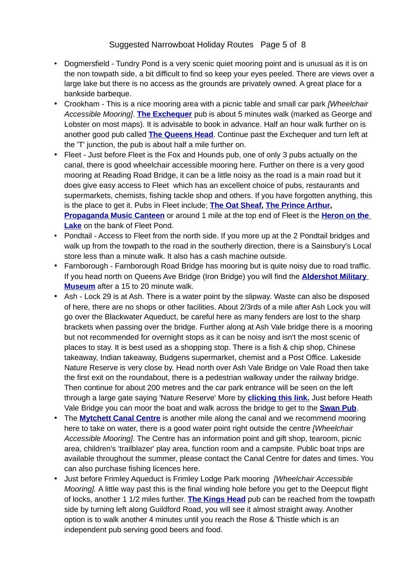- Dogmersfield Tundry Pond is a very scenic quiet mooring point and is unusual as it is on the non towpath side, a bit difficult to find so keep your eyes peeled. There are views over a large lake but there is no access as the grounds are privately owned. A great place for a bankside barbeque.
- Crookham This is a nice mooring area with a picnic table and small car park *[Wheelchair Accessible Mooring]*. **[The Exchequer](http://www.exchequercrookham.co.uk/)** pub is about 5 minutes walk (marked as George and Lobster on most maps). It is advisable to book in advance. Half an hour walk further on is another good pub called **[The Queens Head](http://www.queensheadpub.co.uk/)**. Continue past the Exchequer and turn left at the 'T' junction, the pub is about half a mile further on.
- Fleet Just before Fleet is the Fox and Hounds pub, one of only 3 pubs actually on the canal, there is good wheelchair accessible mooring here. Further on there is a very good mooring at Reading Road Bridge, it can be a little noisy as the road is a main road but it does give easy access to Fleet which has an excellent choice of pubs, restaurants and supermarkets, chemists, fishing tackle shop and others. If you have forgotten anything, this is the place to get it. Pubs in Fleet include; **[The Oat Sheaf](http://www.theoatsheaf.co.uk/), [The Prince Arthur,](http://www.jdwetherspoon.co.uk/home/pubs/the-prince-arthur) [Propaganda Music Canteen](http://musiccanteen.co.uk/)** or around 1 mile at the top end of Fleet is the **[Heron on the](http://www.mcmullens.co.uk/theherononthelake)  [Lake](http://www.mcmullens.co.uk/theherononthelake)** on the bank of Fleet Pond.
- Pondtail Access to Fleet from the north side. If you more up at the 2 Pondtail bridges and walk up from the towpath to the road in the southerly direction, there is a Sainsbury's Local store less than a minute walk. It also has a cash machine outside.
- Farnborough Farnborough Road Bridge has mooring but is quite noisy due to road traffic. If you head north on Queens Ave Bridge (Iron Bridge) you will find the **[Aldershot Military](http://hampshireculturaltrust.org.uk/aldershot-military-museum)  [Museum](http://hampshireculturaltrust.org.uk/aldershot-military-museum)** after a 15 to 20 minute walk.
- Ash Lock 29 is at Ash. There is a water point by the slipway. Waste can also be disposed of here, there are no shops or other facilities. About 2/3rds of a mile after Ash Lock you will go over the Blackwater Aqueduct, be careful here as many fenders are lost to the sharp brackets when passing over the bridge. Further along at Ash Vale bridge there is a mooring but not recommended for overnight stops as it can be noisy and isn't the most scenic of places to stay. It is best used as a shopping stop. There is a fish & chip shop, Chinese takeaway, Indian takeaway, Budgens supermarket, chemist and a Post Office. Lakeside Nature Reserve is very close by. Head north over Ash Vale Bridge on Vale Road then take the first exit on the roundabout, there is a pedestrian walkway under the railway bridge. Then continue for about 200 metres and the car park entrance will be seen on the left through a large gate saying 'Nature Reserve' More by **[clicking this link.](http://www.blackwater-valley.org.uk/lakeside_park.html)** Just before Heath Vale Bridge you can moor the boat and walk across the bridge to get to the **[Swan Pub](http://www.chefandbrewer.com/pub/swan-ash-vale-aldershot/c2187/)**.
- The **[Mytchett Canal Centre](http://www3.hants.gov.uk/basingstoke-canal/canal-centre.htm)** is another mile along the canal and we recommend mooring here to take on water, there is a good water point right outside the centre *[Wheelchair Accessible Mooring]*. The Centre has an information point and gift shop, tearoom, picnic area, children's 'trailblazer' play area, function room and a campsite. Public boat trips are available throughout the summer, please contact the Canal Centre for dates and times. You can also purchase fishing licences here.
- Just before Frimley Aqueduct is Frimley Lodge Park mooring *[Wheelchair Accessible Mooring].* A little way past this is the final winding hole before you get to the Deepcut flight of locks, another 1 1/2 miles further. **[The Kings Head](http://www.harvester.co.uk/restaurants/southeast/thekingsheadcamberley)** pub can be reached from the towpath side by turning left along Guildford Road, you will see it almost straight away. Another option is to walk another 4 minutes until you reach the Rose & Thistle which is an independent pub serving good beers and food.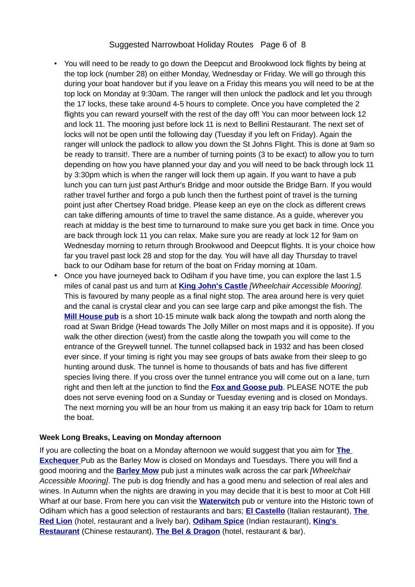### Suggested Narrowboat Holiday Routes Page 6 of 8

- You will need to be ready to go down the Deepcut and Brookwood lock flights by being at the top lock (number 28) on either Monday, Wednesday or Friday. We will go through this during your boat handover but if you leave on a Friday this means you will need to be at the top lock on Monday at 9:30am. The ranger will then unlock the padlock and let you through the 17 locks, these take around 4-5 hours to complete. Once you have completed the 2 flights you can reward yourself with the rest of the day off! You can moor between lock 12 and lock 11. The mooring just before lock 11 is next to Bellini Restaurant. The next set of locks will not be open until the following day (Tuesday if you left on Friday). Again the ranger will unlock the padlock to allow you down the St Johns Flight. This is done at 9am so be ready to transit!. There are a number of turning points (3 to be exact) to allow you to turn depending on how you have planned your day and you will need to be back through lock 11 by 3:30pm which is when the ranger will lock them up again. If you want to have a pub lunch you can turn just past Arthur's Bridge and moor outside the Bridge Barn. If you would rather travel further and forgo a pub lunch then the furthest point of travel is the turning point just after Chertsey Road bridge. Please keep an eye on the clock as different crews can take differing amounts of time to travel the same distance. As a guide, wherever you reach at midday is the best time to turnaround to make sure you get back in time. Once you are back through lock 11 you can relax. Make sure you are ready at lock 12 for 9am on Wednesday morning to return through Brookwood and Deepcut flights. It is your choice how far you travel past lock 28 and stop for the day. You will have all day Thursday to travel back to our Odiham base for return of the boat on Friday morning at 10am.
- Once you have journeyed back to Odiham if you have time, you can explore the last 1.5 miles of canal past us and turn at **[King John's Castle](http://www3.hants.gov.uk/hampshire-countryside/odiham-castle.htm)** *[Wheelchair Accessible Mooring].*  This is favoured by many people as a final night stop. The area around here is very quiet and the canal is crystal clear and you can see large carp and pike amongst the fish. The **[Mill House pub](http://www.brunningandprice.co.uk/millhouse/homepage/)** is a short 10-15 minute walk back along the towpath and north along the road at Swan Bridge (Head towards The Jolly Miller on most maps and it is opposite). If you walk the other direction (west) from the castle along the towpath you will come to the entrance of the Greywell tunnel. The tunnel collapsed back in 1932 and has been closed ever since. If your timing is right you may see groups of bats awake from their sleep to go hunting around dusk. The tunnel is home to thousands of bats and has five different species living there. If you cross over the tunnel entrance you will come out on a lane, turn right and then left at the junction to find the **[Fox and Goose pub](http://www.foxandgoosehampshire.co.uk/)**. PLEASE NOTE the pub does not serve evening food on a Sunday or Tuesday evening and is closed on Mondays. The next morning you will be an hour from us making it an easy trip back for 10am to return the boat.

#### **Week Long Breaks, Leaving on Monday afternoon**

If you are collecting the boat on a Monday afternoon we would suggest that you aim for **[The](http://www.exchequercrookham.co.uk/)  [Exchequer](http://www.exchequercrookham.co.uk/)** Pub as the Barley Mow is closed on Mondays and Tuesdays. There you will find a good mooring and the **[Barley Mow](http://www.tripadvisor.co.uk/Restaurant_Review-g1466677-d6970724-Reviews-The_Barley_Mow-Odiham_Hook_Hampshire_England.html)** pub just a minutes walk across the car park *[Wheelchair Accessible Mooring]*. The pub is dog friendly and has a good menu and selection of real ales and wines. In Autumn when the nights are drawing in you may decide that it is best to moor at Colt Hill Wharf at our base. From here you can visit the **[Waterwitch](http://www.tripadvisor.co.uk/Restaurant_Review-g1466677-d2214550-Reviews-Waterwitch-Odiham_Hook_Hampshire_England.html)** pub or venture into the Historic town of Odiham which has a good selection of restaurants and bars; **[El Castello](http://www.tripadvisor.co.uk/Restaurant_Review-g1466677-d2454902-Reviews-El_Castello-Odiham_Hook_Hampshire_England.html)** (Italian restaurant), **[The](https://www.tripadvisor.co.uk/Restaurant_Review-g1466677-d12120672-Reviews-The_Red_Lion-Odiham_Hook_Hampshire_England.html)  [Red Lion](https://www.tripadvisor.co.uk/Restaurant_Review-g1466677-d12120672-Reviews-The_Red_Lion-Odiham_Hook_Hampshire_England.html)** (hotel, restaurant and a lively bar), **[Odiham Spice](http://www.tripadvisor.co.uk/Restaurant_Review-g1466677-d1731314-Reviews-Odiham_Spice-Odiham_Hook_Hampshire_England.html)** (Indian restaurant), **[King's](http://www.tripadvisor.co.uk/Restaurant_Review-g1466677-d3160146-Reviews-King_s_Restaurant-Odiham_Hook_Hampshire_England.html)  [Restaurant](http://www.tripadvisor.co.uk/Restaurant_Review-g1466677-d3160146-Reviews-King_s_Restaurant-Odiham_Hook_Hampshire_England.html)** (Chinese restaurant), **[The Bel & Dragon](https://www.tripadvisor.co.uk/Restaurant_Review-g1466677-d7259988-Reviews-Bel_The_Dragon-Odiham_Hook_Hampshire_England.html)** (hotel, restaurant & bar).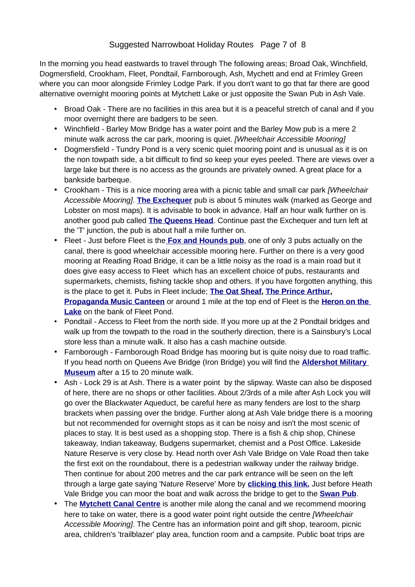In the morning you head eastwards to travel through The following areas; Broad Oak, Winchfield, Dogmersfield, Crookham, Fleet, Pondtail, Farnborough, Ash, Mychett and end at Frimley Green where you can moor alongside Frimley Lodge Park. If you don't want to go that far there are good alternative overnight mooring points at Mytchett Lake or just opposite the Swan Pub in Ash Vale.

- Broad Oak There are no facilities in this area but it is a peaceful stretch of canal and if you moor overnight there are badgers to be seen.
- Winchfield Barley Mow Bridge has a water point and the Barley Mow pub is a mere 2 minute walk across the car park, mooring is quiet. *[Wheelchair Accessible Mooring]*
- Dogmersfield Tundry Pond is a very scenic quiet mooring point and is unusual as it is on the non towpath side, a bit difficult to find so keep your eyes peeled. There are views over a large lake but there is no access as the grounds are privately owned. A great place for a bankside barbeque.
- Crookham This is a nice mooring area with a picnic table and small car park *[Wheelchair Accessible Mooring]*. **[The Exchequer](http://www.exchequercrookham.co.uk/)** pub is about 5 minutes walk (marked as George and Lobster on most maps). It is advisable to book in advance. Half an hour walk further on is another good pub called **[The Queens Head](http://www.queensheadpub.co.uk/)**. Continue past the Exchequer and turn left at the 'T' junction, the pub is about half a mile further on.
- Fleet Just before Fleet is the **[Fox and Hounds pub](http://www.foxandhoundschurchcrookham.co.uk/)**, one of only 3 pubs actually on the canal, there is good wheelchair accessible mooring here. Further on there is a very good mooring at Reading Road Bridge, it can be a little noisy as the road is a main road but it does give easy access to Fleet which has an excellent choice of pubs, restaurants and supermarkets, chemists, fishing tackle shop and others. If you have forgotten anything, this is the place to get it. Pubs in Fleet include; **[The Oat Sheaf](http://www.theoatsheaf.co.uk/), [The Prince Arthur,](http://www.jdwetherspoon.co.uk/home/pubs/the-prince-arthur) [Propaganda Music Canteen](http://musiccanteen.co.uk/)** or around 1 mile at the top end of Fleet is the **[Heron on the](http://www.mcmullens.co.uk/theherononthelake)  [Lake](http://www.mcmullens.co.uk/theherononthelake)** on the bank of Fleet Pond.
- Pondtail Access to Fleet from the north side. If you more up at the 2 Pondtail bridges and walk up from the towpath to the road in the southerly direction, there is a Sainsbury's Local store less than a minute walk. It also has a cash machine outside.
- Farnborough Farnborough Road Bridge has mooring but is quite noisy due to road traffic. If you head north on Queens Ave Bridge (Iron Bridge) you will find the **[Aldershot Military](http://hampshireculturaltrust.org.uk/aldershot-military-museum)  [Museum](http://hampshireculturaltrust.org.uk/aldershot-military-museum)** after a 15 to 20 minute walk.
- Ash Lock 29 is at Ash. There is a water point by the slipway. Waste can also be disposed of here, there are no shops or other facilities. About 2/3rds of a mile after Ash Lock you will go over the Blackwater Aqueduct, be careful here as many fenders are lost to the sharp brackets when passing over the bridge. Further along at Ash Vale bridge there is a mooring but not recommended for overnight stops as it can be noisy and isn't the most scenic of places to stay. It is best used as a shopping stop. There is a fish & chip shop, Chinese takeaway, Indian takeaway, Budgens supermarket, chemist and a Post Office. Lakeside Nature Reserve is very close by. Head north over Ash Vale Bridge on Vale Road then take the first exit on the roundabout, there is a pedestrian walkway under the railway bridge. Then continue for about 200 metres and the car park entrance will be seen on the left through a large gate saying 'Nature Reserve' More by **[clicking this link.](http://www.blackwater-valley.org.uk/lakeside_park.html)** Just before Heath Vale Bridge you can moor the boat and walk across the bridge to get to the **[Swan Pub](http://www.chefandbrewer.com/pub/swan-ash-vale-aldershot/c2187/)**.
- The **[Mytchett Canal Centre](http://www3.hants.gov.uk/basingstoke-canal/canal-centre.htm)** is another mile along the canal and we recommend mooring here to take on water, there is a good water point right outside the centre *[Wheelchair Accessible Mooring]*. The Centre has an information point and gift shop, tearoom, picnic area, children's 'trailblazer' play area, function room and a campsite. Public boat trips are